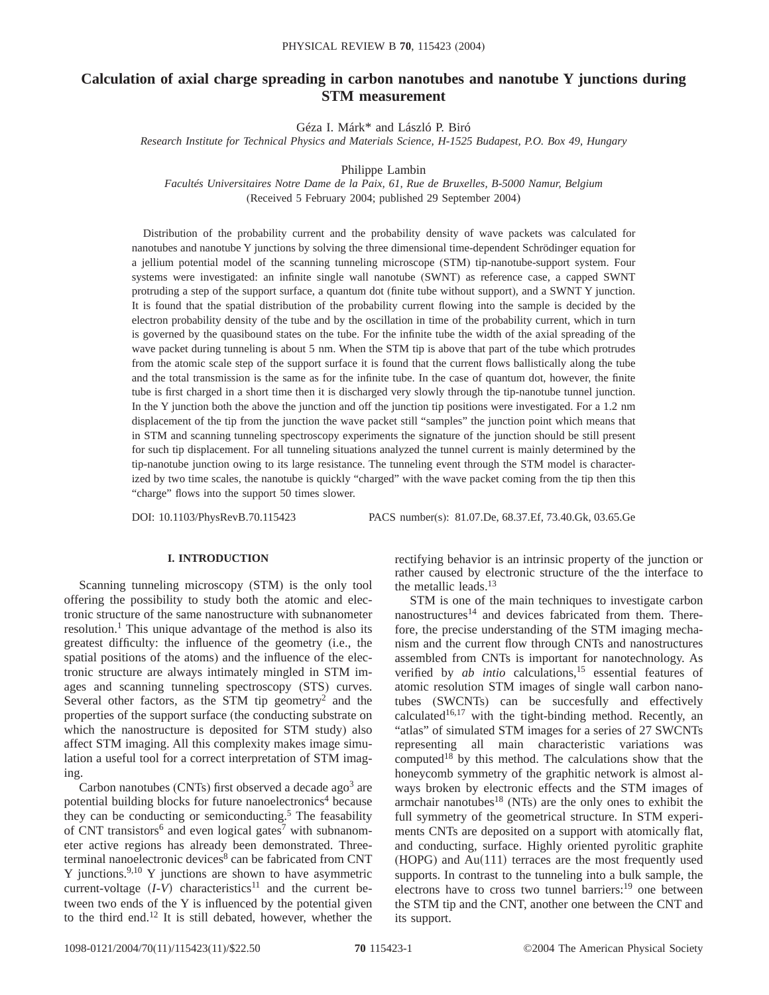# **Calculation of axial charge spreading in carbon nanotubes and nanotube Y junctions during STM measurement**

Géza I. Márk\* and László P. Biró

*Research Institute for Technical Physics and Materials Science, H-1525 Budapest, P.O. Box 49, Hungary*

Philippe Lambin

*Facultés Universitaires Notre Dame de la Paix, 61, Rue de Bruxelles, B-5000 Namur, Belgium* (Received 5 February 2004; published 29 September 2004)

Distribution of the probability current and the probability density of wave packets was calculated for nanotubes and nanotube Y junctions by solving the three dimensional time-dependent Schrödinger equation for a jellium potential model of the scanning tunneling microscope (STM) tip-nanotube-support system. Four systems were investigated: an infinite single wall nanotube (SWNT) as reference case, a capped SWNT protruding a step of the support surface, a quantum dot (finite tube without support), and a SWNT Y junction. It is found that the spatial distribution of the probability current flowing into the sample is decided by the electron probability density of the tube and by the oscillation in time of the probability current, which in turn is governed by the quasibound states on the tube. For the infinite tube the width of the axial spreading of the wave packet during tunneling is about 5 nm. When the STM tip is above that part of the tube which protrudes from the atomic scale step of the support surface it is found that the current flows ballistically along the tube and the total transmission is the same as for the infinite tube. In the case of quantum dot, however, the finite tube is first charged in a short time then it is discharged very slowly through the tip-nanotube tunnel junction. In the Y junction both the above the junction and off the junction tip positions were investigated. For a 1.2 nm displacement of the tip from the junction the wave packet still "samples" the junction point which means that in STM and scanning tunneling spectroscopy experiments the signature of the junction should be still present for such tip displacement. For all tunneling situations analyzed the tunnel current is mainly determined by the tip-nanotube junction owing to its large resistance. The tunneling event through the STM model is characterized by two time scales, the nanotube is quickly "charged" with the wave packet coming from the tip then this "charge" flows into the support 50 times slower.

DOI: 10.1103/PhysRevB.70.115423 PACS number(s): 81.07.De, 68.37.Ef, 73.40.Gk, 03.65.Ge

## **I. INTRODUCTION**

Scanning tunneling microscopy (STM) is the only tool offering the possibility to study both the atomic and electronic structure of the same nanostructure with subnanometer resolution.<sup>1</sup> This unique advantage of the method is also its greatest difficulty: the influence of the geometry (i.e., the spatial positions of the atoms) and the influence of the electronic structure are always intimately mingled in STM images and scanning tunneling spectroscopy (STS) curves. Several other factors, as the STM tip geometry<sup>2</sup> and the properties of the support surface (the conducting substrate on which the nanostructure is deposited for STM study) also affect STM imaging. All this complexity makes image simulation a useful tool for a correct interpretation of STM imaging.

Carbon nanotubes (CNTs) first observed a decade ago<sup>3</sup> are potential building blocks for future nanoelectronics<sup>4</sup> because they can be conducting or semiconducting.<sup>5</sup> The feasability of CNT transistors<sup>6</sup> and even logical gates<sup>7</sup> with subnanometer active regions has already been demonstrated. Threeterminal nanoelectronic devices<sup>8</sup> can be fabricated from CNT Y junctions. $9,10$  Y junctions are shown to have asymmetric current-voltage  $(I-V)$  characteristics<sup>11</sup> and the current between two ends of the Y is influenced by the potential given to the third end.12 It is still debated, however, whether the rectifying behavior is an intrinsic property of the junction or rather caused by electronic structure of the the interface to the metallic leads.13

STM is one of the main techniques to investigate carbon nanostructures $14$  and devices fabricated from them. Therefore, the precise understanding of the STM imaging mechanism and the current flow through CNTs and nanostructures assembled from CNTs is important for nanotechnology. As verified by *ab intio* calculations,<sup>15</sup> essential features of atomic resolution STM images of single wall carbon nanotubes (SWCNTs) can be succesfully and effectively calculated<sup>16,17</sup> with the tight-binding method. Recently, an "atlas" of simulated STM images for a series of 27 SWCNTs representing all main characteristic variations was computed<sup>18</sup> by this method. The calculations show that the honeycomb symmetry of the graphitic network is almost always broken by electronic effects and the STM images of armchair nanotubes $18$  (NTs) are the only ones to exhibit the full symmetry of the geometrical structure. In STM experiments CNTs are deposited on a support with atomically flat, and conducting, surface. Highly oriented pyrolitic graphite (HOPG) and  $Au(111)$  terraces are the most frequently used supports. In contrast to the tunneling into a bulk sample, the electrons have to cross two tunnel barriers:<sup>19</sup> one between the STM tip and the CNT, another one between the CNT and its support.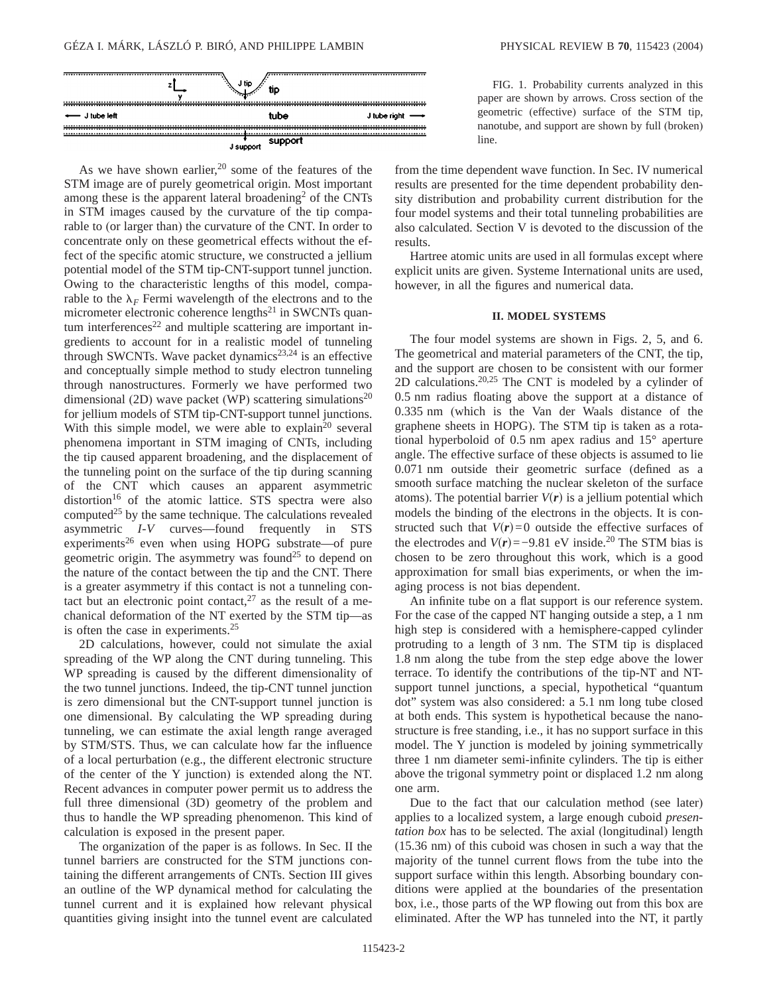

As we have shown earlier,  $20$  some of the features of the STM image are of purely geometrical origin. Most important among these is the apparent lateral broadening<sup>2</sup> of the CNTs in STM images caused by the curvature of the tip comparable to (or larger than) the curvature of the CNT. In order to concentrate only on these geometrical effects without the effect of the specific atomic structure, we constructed a jellium potential model of the STM tip-CNT-support tunnel junction. Owing to the characteristic lengths of this model, comparable to the  $\lambda_F$  Fermi wavelength of the electrons and to the micrometer electronic coherence lengths $^{21}$  in SWCNTs quantum interferences<sup>22</sup> and multiple scattering are important ingredients to account for in a realistic model of tunneling through SWCNTs. Wave packet dynamics<sup>23,24</sup> is an effective and conceptually simple method to study electron tunneling through nanostructures. Formerly we have performed two dimensional (2D) wave packet (WP) scattering simulations<sup>20</sup> for jellium models of STM tip-CNT-support tunnel junctions. With this simple model, we were able to  $explain^{20}$  several phenomena important in STM imaging of CNTs, including the tip caused apparent broadening, and the displacement of the tunneling point on the surface of the tip during scanning of the CNT which causes an apparent asymmetric distortion<sup>16</sup> of the atomic lattice. STS spectra were also computed<sup>25</sup> by the same technique. The calculations revealed asymmetric *I*-*V* curves—found frequently in STS experiments<sup>26</sup> even when using HOPG substrate—of pure geometric origin. The asymmetry was found<sup>25</sup> to depend on the nature of the contact between the tip and the CNT. There is a greater asymmetry if this contact is not a tunneling contact but an electronic point contact, $27$  as the result of a mechanical deformation of the NT exerted by the STM tip—as is often the case in experiments.25

2D calculations, however, could not simulate the axial spreading of the WP along the CNT during tunneling. This WP spreading is caused by the different dimensionality of the two tunnel junctions. Indeed, the tip-CNT tunnel junction is zero dimensional but the CNT-support tunnel junction is one dimensional. By calculating the WP spreading during tunneling, we can estimate the axial length range averaged by STM/STS. Thus, we can calculate how far the influence of a local perturbation (e.g., the different electronic structure of the center of the Y junction) is extended along the NT. Recent advances in computer power permit us to address the full three dimensional (3D) geometry of the problem and thus to handle the WP spreading phenomenon. This kind of calculation is exposed in the present paper.

The organization of the paper is as follows. In Sec. II the tunnel barriers are constructed for the STM junctions containing the different arrangements of CNTs. Section III gives an outline of the WP dynamical method for calculating the tunnel current and it is explained how relevant physical quantities giving insight into the tunnel event are calculated

FIG. 1. Probability currents analyzed in this paper are shown by arrows. Cross section of the geometric (effective) surface of the STM tip, nanotube, and support are shown by full (broken) line.

from the time dependent wave function. In Sec. IV numerical results are presented for the time dependent probability density distribution and probability current distribution for the four model systems and their total tunneling probabilities are also calculated. Section V is devoted to the discussion of the results.

Hartree atomic units are used in all formulas except where explicit units are given. Systeme International units are used, however, in all the figures and numerical data.

### **II. MODEL SYSTEMS**

The four model systems are shown in Figs. 2, 5, and 6. The geometrical and material parameters of the CNT, the tip, and the support are chosen to be consistent with our former 2D calculations. $20,25$  The CNT is modeled by a cylinder of 0.5 nm radius floating above the support at a distance of 0.335 nm (which is the Van der Waals distance of the graphene sheets in HOPG). The STM tip is taken as a rotational hyperboloid of 0.5 nm apex radius and 15° aperture angle. The effective surface of these objects is assumed to lie 0.071 nm outside their geometric surface (defined as a smooth surface matching the nuclear skeleton of the surface atoms). The potential barrier  $V(r)$  is a jellium potential which models the binding of the electrons in the objects. It is constructed such that  $V(r)=0$  outside the effective surfaces of the electrodes and  $V(r) = -9.81$  eV inside.<sup>20</sup> The STM bias is chosen to be zero throughout this work, which is a good approximation for small bias experiments, or when the imaging process is not bias dependent.

An infinite tube on a flat support is our reference system. For the case of the capped NT hanging outside a step, a 1 nm high step is considered with a hemisphere-capped cylinder protruding to a length of 3 nm. The STM tip is displaced 1.8 nm along the tube from the step edge above the lower terrace. To identify the contributions of the tip-NT and NTsupport tunnel junctions, a special, hypothetical "quantum dot" system was also considered: a 5.1 nm long tube closed at both ends. This system is hypothetical because the nanostructure is free standing, i.e., it has no support surface in this model. The Y junction is modeled by joining symmetrically three 1 nm diameter semi-infinite cylinders. The tip is either above the trigonal symmetry point or displaced 1.2 nm along one arm.

Due to the fact that our calculation method (see later) applies to a localized system, a large enough cuboid *presentation box* has to be selected. The axial (longitudinal) length (15.36 nm) of this cuboid was chosen in such a way that the majority of the tunnel current flows from the tube into the support surface within this length. Absorbing boundary conditions were applied at the boundaries of the presentation box, i.e., those parts of the WP flowing out from this box are eliminated. After the WP has tunneled into the NT, it partly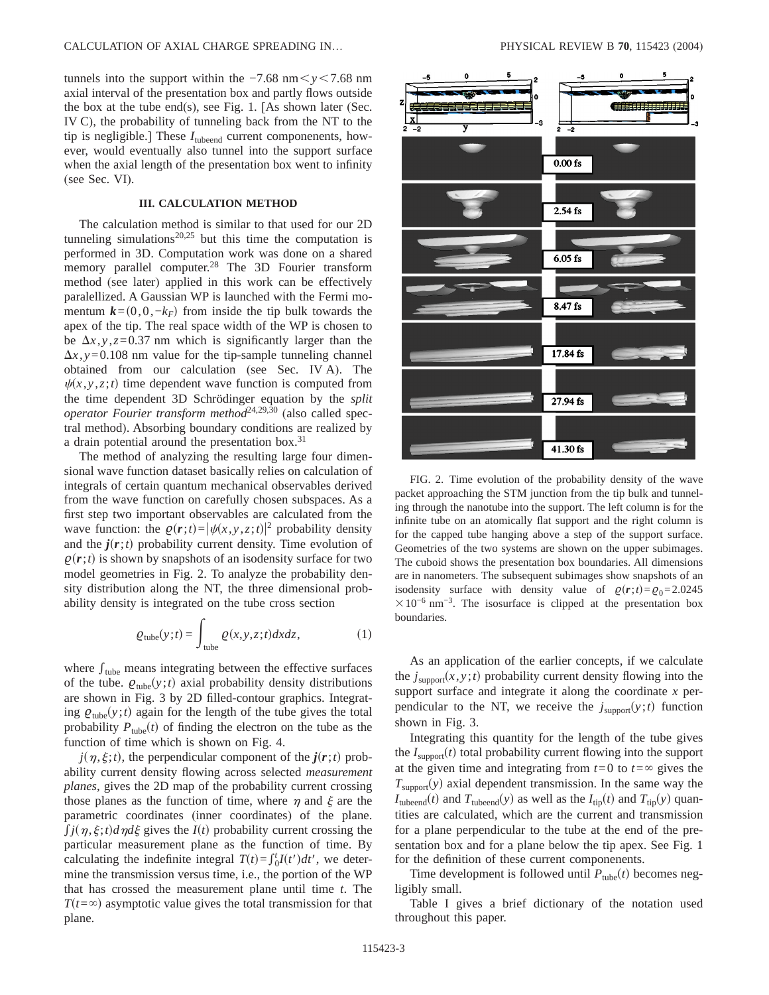tunnels into the support within the  $-7.68$  nm  $\leq y \leq 7.68$  nm axial interval of the presentation box and partly flows outside the box at the tube end(s), see Fig. 1. [As shown later (Sec. IV C), the probability of tunneling back from the NT to the tip is negligible.] These *I*<sub>tubeend</sub> current componenents, however, would eventually also tunnel into the support surface when the axial length of the presentation box went to infinity (see Sec. VI).

## **III. CALCULATION METHOD**

The calculation method is similar to that used for our 2D tunneling simulations<sup>20,25</sup> but this time the computation is performed in 3D. Computation work was done on a shared memory parallel computer.<sup>28</sup> The 3D Fourier transform method (see later) applied in this work can be effectively paralellized. A Gaussian WP is launched with the Fermi momentum  $k=(0,0,-k_F)$  from inside the tip bulk towards the apex of the tip. The real space width of the WP is chosen to be  $\Delta x$ , *y*, *z*=0.37 nm which is significantly larger than the  $\Delta x$ ,  $y=0.108$  nm value for the tip-sample tunneling channel obtained from our calculation (see Sec. IV A). The  $\psi(x, y, z; t)$  time dependent wave function is computed from the time dependent 3D Schrödinger equation by the *split operator Fourier transform method*24,29,30 (also called spectral method). Absorbing boundary conditions are realized by a drain potential around the presentation box.<sup>31</sup>

The method of analyzing the resulting large four dimensional wave function dataset basically relies on calculation of integrals of certain quantum mechanical observables derived from the wave function on carefully chosen subspaces. As a first step two important observables are calculated from the wave function: the  $\rho(r;t)=|\psi(x,y,z;t)|^2$  probability density and the  $j(r; t)$  probability current density. Time evolution of  $\rho(r;t)$  is shown by snapshots of an isodensity surface for two model geometries in Fig. 2. To analyze the probability density distribution along the NT, the three dimensional probability density is integrated on the tube cross section

$$
Q_{\text{tube}}(y;t) = \int_{\text{tube}} Q(x,y,z;t)dxdz,
$$
 (1)

where  $\int_{tube}$  means integrating between the effective surfaces of the tube.  $\varrho_{\text{tube}}(y; t)$  axial probability density distributions are shown in Fig. 3 by 2D filled-contour graphics. Integrating  $\varrho_{\text{tube}}(y; t)$  again for the length of the tube gives the total probability  $P_{\text{tube}}(t)$  of finding the electron on the tube as the function of time which is shown on Fig. 4.

 $j(\eta, \xi; t)$ , the perpendicular component of the  $j(\mathbf{r}; t)$  probability current density flowing across selected *measurement planes*, gives the 2D map of the probability current crossing those planes as the function of time, where  $\eta$  and  $\xi$  are the parametric coordinates (inner coordinates) of the plane.  $\int j(\eta, \xi; t) d\eta d\xi$  gives the *I*(*t*) probability current crossing the particular measurement plane as the function of time. By calculating the indefinite integral  $T(t) = \int_0^t I(t')dt'$ , we determine the transmission versus time, i.e., the portion of the WP that has crossed the measurement plane until time *t*. The  $T(t=\infty)$  asymptotic value gives the total transmission for that plane.



FIG. 2. Time evolution of the probability density of the wave packet approaching the STM junction from the tip bulk and tunneling through the nanotube into the support. The left column is for the infinite tube on an atomically flat support and the right column is for the capped tube hanging above a step of the support surface. Geometries of the two systems are shown on the upper subimages. The cuboid shows the presentation box boundaries. All dimensions are in nanometers. The subsequent subimages show snapshots of an isodensity surface with density value of  $\rho(r; t) = \rho_0 = 2.0245$  $\times$ 10<sup>-6</sup> nm<sup>-3</sup>. The isosurface is clipped at the presentation box boundaries.

As an application of the earlier concepts, if we calculate the  $j_{\text{support}}(x, y; t)$  probability current density flowing into the support surface and integrate it along the coordinate *x* perpendicular to the NT, we receive the  $j_{\text{support}}(y; t)$  function shown in Fig. 3.

Integrating this quantity for the length of the tube gives the  $I_{\text{support}}(t)$  total probability current flowing into the support at the given time and integrating from  $t=0$  to  $t=\infty$  gives the  $T_{\text{support}}(y)$  axial dependent transmission. In the same way the  $I_{\text{tubeend}}(t)$  and  $T_{\text{tubeend}}(y)$  as well as the  $I_{\text{tip}}(t)$  and  $T_{\text{tip}}(y)$  quantities are calculated, which are the current and transmission for a plane perpendicular to the tube at the end of the presentation box and for a plane below the tip apex. See Fig. 1 for the definition of these current componenents.

Time development is followed until  $P_{\text{tube}}(t)$  becomes negligibly small.

Table I gives a brief dictionary of the notation used throughout this paper.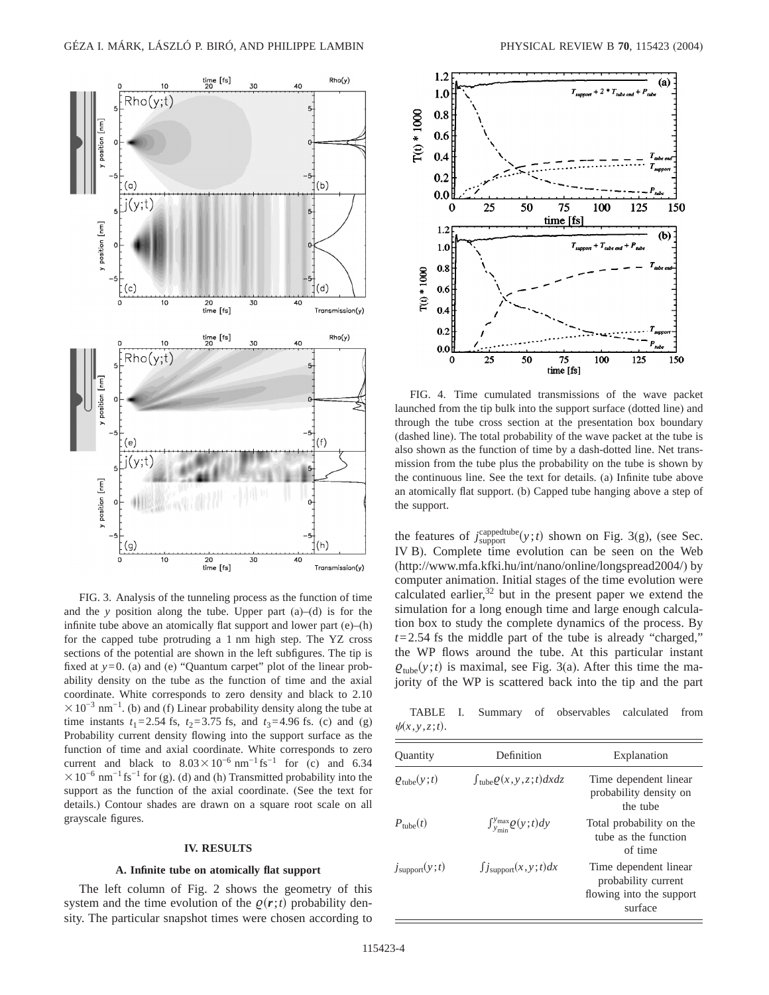

FIG. 3. Analysis of the tunneling process as the function of time and the *y* position along the tube. Upper part  $(a)$ – $(d)$  is for the infinite tube above an atomically flat support and lower part (e)–(h) for the capped tube protruding a 1 nm high step. The YZ cross sections of the potential are shown in the left subfigures. The tip is fixed at  $y=0$ . (a) and (e) "Quantum carpet" plot of the linear probability density on the tube as the function of time and the axial coordinate. White corresponds to zero density and black to 2.10  $\times$ 10<sup>-3</sup> nm<sup>-1</sup>. (b) and (f) Linear probability density along the tube at time instants  $t_1 = 2.54$  fs,  $t_2 = 3.75$  fs, and  $t_3 = 4.96$  fs. (c) and (g) Probability current density flowing into the support surface as the function of time and axial coordinate. White corresponds to zero current and black to  $8.03 \times 10^{-6}$  nm<sup>-1</sup> fs<sup>-1</sup> for (c) and 6.34  $\times$ 10<sup>-6</sup> nm<sup>-1</sup> fs<sup>-1</sup> for (g). (d) and (h) Transmitted probability into the support as the function of the axial coordinate. (See the text for details.) Contour shades are drawn on a square root scale on all grayscale figures.

#### **IV. RESULTS**

#### **A. Infinite tube on atomically flat support**

The left column of Fig. 2 shows the geometry of this system and the time evolution of the  $\rho(r;t)$  probability density. The particular snapshot times were chosen according to



FIG. 4. Time cumulated transmissions of the wave packet launched from the tip bulk into the support surface (dotted line) and through the tube cross section at the presentation box boundary (dashed line). The total probability of the wave packet at the tube is also shown as the function of time by a dash-dotted line. Net transmission from the tube plus the probability on the tube is shown by the continuous line. See the text for details. (a) Infinite tube above an atomically flat support. (b) Capped tube hanging above a step of the support.

the features of  $j_{\text{support}}^{\text{capacity}}(y; t)$  shown on Fig. 3(g), (see Sec. IV B). Complete time evolution can be seen on the Web (http://www.mfa.kfki.hu/int/nano/online/longspread2004/) by computer animation. Initial stages of the time evolution were calculated earlier,  $32$  but in the present paper we extend the simulation for a long enough time and large enough calculation box to study the complete dynamics of the process. By  $t=2.54$  fs the middle part of the tube is already "charged," the WP flows around the tube. At this particular instant  $\varrho_{\text{tube}}(y; t)$  is maximal, see Fig. 3(a). After this time the majority of the WP is scattered back into the tip and the part

TABLE I. Summary of observables calculated from  $\psi(x, y, z; t)$ .

| Quantity                   | Definition                                  | Explanation                                                                         |  |
|----------------------------|---------------------------------------------|-------------------------------------------------------------------------------------|--|
| $Q_{\text{tube}}(y; t)$    | $\int_{\text{tube}} \rho(x, y, z; t) dx dz$ | Time dependent linear<br>probability density on<br>the tube                         |  |
| $P_{\text{tube}}(t)$       | $\int_{v_{\min}}^{y_{\max}} Q(y;t) dy$      | Total probability on the<br>tube as the function<br>of time                         |  |
| $j_{\text{support}}(y; t)$ | $\int j_{\text{support}}(x, y; t) dx$       | Time dependent linear<br>probability current<br>flowing into the support<br>surface |  |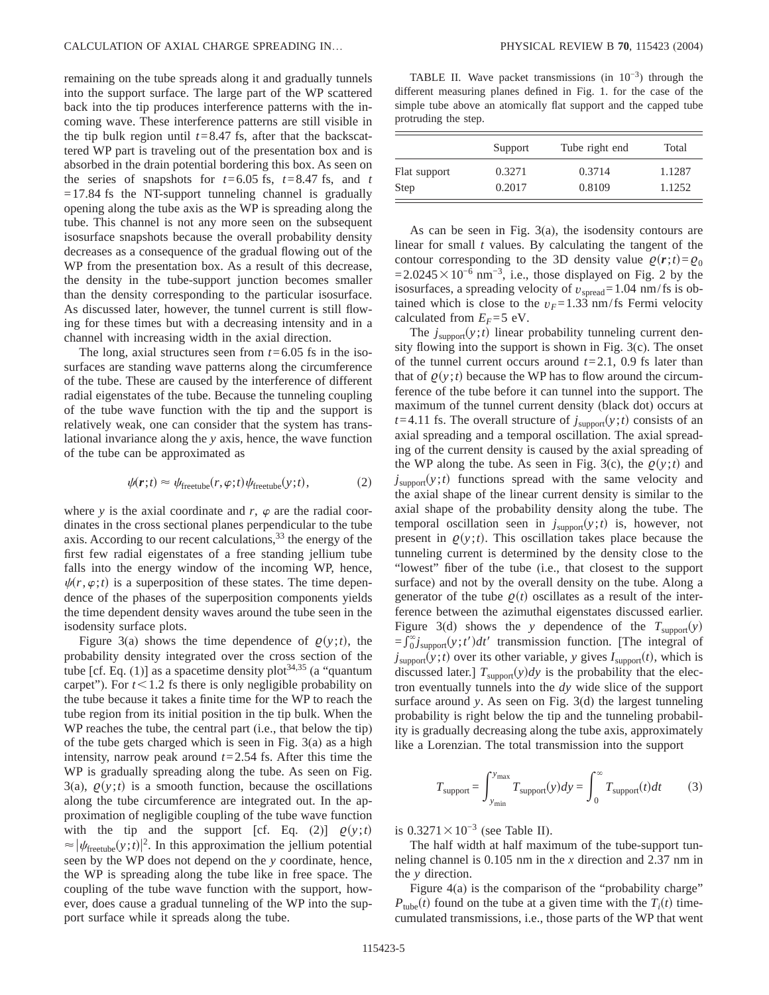remaining on the tube spreads along it and gradually tunnels into the support surface. The large part of the WP scattered back into the tip produces interference patterns with the incoming wave. These interference patterns are still visible in the tip bulk region until  $t=8.47$  fs, after that the backscattered WP part is traveling out of the presentation box and is absorbed in the drain potential bordering this box. As seen on the series of snapshots for  $t=6.05$  fs,  $t=8.47$  fs, and  $t$  $=17.84$  fs the NT-support tunneling channel is gradually opening along the tube axis as the WP is spreading along the tube. This channel is not any more seen on the subsequent isosurface snapshots because the overall probability density decreases as a consequence of the gradual flowing out of the WP from the presentation box. As a result of this decrease, the density in the tube-support junction becomes smaller than the density corresponding to the particular isosurface. As discussed later, however, the tunnel current is still flowing for these times but with a decreasing intensity and in a channel with increasing width in the axial direction.

The long, axial structures seen from  $t=6.05$  fs in the isosurfaces are standing wave patterns along the circumference of the tube. These are caused by the interference of different radial eigenstates of the tube. Because the tunneling coupling of the tube wave function with the tip and the support is relatively weak, one can consider that the system has translational invariance along the *y* axis, hence, the wave function of the tube can be approximated as

$$
\psi(r;t) \approx \psi_{\text{freetube}}(r,\varphi;t)\psi_{\text{freetube}}(y;t),\tag{2}
$$

where *y* is the axial coordinate and  $r$ ,  $\varphi$  are the radial coordinates in the cross sectional planes perpendicular to the tube axis. According to our recent calculations,33 the energy of the first few radial eigenstates of a free standing jellium tube falls into the energy window of the incoming WP, hence,  $\psi(r, \varphi; t)$  is a superposition of these states. The time dependence of the phases of the superposition components yields the time dependent density waves around the tube seen in the isodensity surface plots.

Figure 3(a) shows the time dependence of  $\varrho(y; t)$ , the probability density integrated over the cross section of the tube [cf. Eq.  $(1)$ ] as a spacetime density plot<sup>34,35</sup> (a "quantum carpet"). For  $t < 1.2$  fs there is only negligible probability on the tube because it takes a finite time for the WP to reach the tube region from its initial position in the tip bulk. When the WP reaches the tube, the central part (i.e., that below the tip) of the tube gets charged which is seen in Fig. 3(a) as a high intensity, narrow peak around *t*=2.54 fs. After this time the WP is gradually spreading along the tube. As seen on Fig. 3(a),  $\varrho(y; t)$  is a smooth function, because the oscillations along the tube circumference are integrated out. In the approximation of negligible coupling of the tube wave function with the tip and the support [cf. Eq. (2)]  $\varrho(y; t)$  $\approx |\psi_{\text{freetube}}(y; t)|^2$ . In this approximation the jellium potential seen by the WP does not depend on the *y* coordinate, hence, the WP is spreading along the tube like in free space. The coupling of the tube wave function with the support, however, does cause a gradual tunneling of the WP into the support surface while it spreads along the tube.

TABLE II. Wave packet transmissions (in  $10^{-3}$ ) through the different measuring planes defined in Fig. 1. for the case of the simple tube above an atomically flat support and the capped tube protruding the step.

|              | Support | Tube right end | Total  |
|--------------|---------|----------------|--------|
| Flat support | 0.3271  | 0.3714         | 1.1287 |
| Step         | 0.2017  | 0.8109         | 1.1252 |

As can be seen in Fig. 3(a), the isodensity contours are linear for small *t* values. By calculating the tangent of the contour corresponding to the 3D density value  $\varrho(r;t) = \varrho_0$  $=2.0245\times10^{-6}$  nm<sup>-3</sup>, i.e., those displayed on Fig. 2 by the isosurfaces, a spreading velocity of  $v_{\text{spread}} = 1.04 \text{ nm}$ /fs is obtained which is close to the  $v_F = 1.33$  nm/fs Fermi velocity calculated from  $E_F$ =5 eV.

The  $j_{\text{support}}(y; t)$  linear probability tunneling current density flowing into the support is shown in Fig. 3(c). The onset of the tunnel current occurs around *t*=2.1, 0.9 fs later than that of  $\rho(y; t)$  because the WP has to flow around the circumference of the tube before it can tunnel into the support. The maximum of the tunnel current density (black dot) occurs at  $t=4.11$  fs. The overall structure of  $j_{\text{support}}(y; t)$  consists of an axial spreading and a temporal oscillation. The axial spreading of the current density is caused by the axial spreading of the WP along the tube. As seen in Fig. 3(c), the  $Q(y; t)$  and  $j<sub>support</sub>(y; t)$  functions spread with the same velocity and the axial shape of the linear current density is similar to the axial shape of the probability density along the tube. The temporal oscillation seen in  $j_{support}(y; t)$  is, however, not present in  $Q(y; t)$ . This oscillation takes place because the tunneling current is determined by the density close to the "lowest" fiber of the tube (i.e., that closest to the support surface) and not by the overall density on the tube. Along a generator of the tube  $\varrho(t)$  oscillates as a result of the interference between the azimuthal eigenstates discussed earlier. Figure 3(d) shows the *y* dependence of the  $T_{\text{support}}(y)$  $=f_0^{\infty} j_{\text{support}}(y; t')dt'$  transmission function. [The integral of  $j<sub>support</sub>(y; t)$  over its other variable, *y* gives  $I<sub>support</sub>(t)$ , which is discussed later.]  $T_{\text{support}}(y)dy$  is the probability that the electron eventually tunnels into the *dy* wide slice of the support surface around *y*. As seen on Fig. 3(d) the largest tunneling probability is right below the tip and the tunneling probability is gradually decreasing along the tube axis, approximately like a Lorenzian. The total transmission into the support

$$
T_{\text{support}} = \int_{y_{\text{min}}}^{y_{\text{max}}} T_{\text{support}}(y) dy = \int_{0}^{\infty} T_{\text{support}}(t) dt
$$
 (3)

is  $0.3271\times10^{-3}$  (see Table II).

The half width at half maximum of the tube-support tunneling channel is 0.105 nm in the *x* direction and 2.37 nm in the *y* direction.

Figure 4(a) is the comparison of the "probability charge"  $P_{\text{tube}}(t)$  found on the tube at a given time with the  $T_i(t)$  timecumulated transmissions, i.e., those parts of the WP that went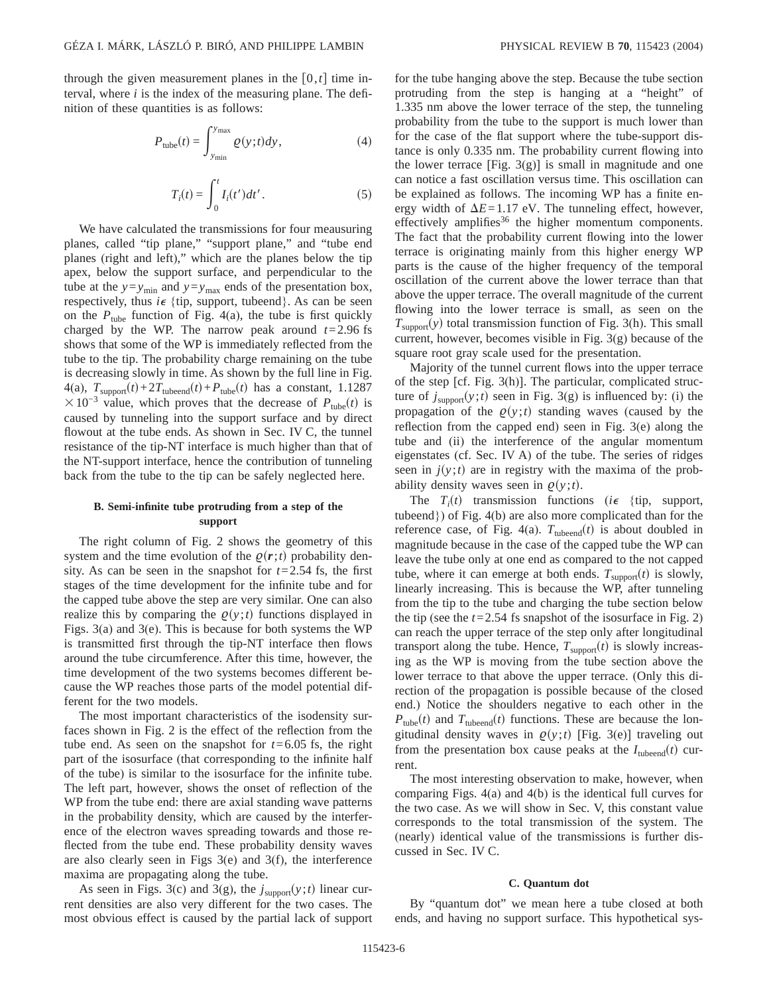through the given measurement planes in the  $[0,t]$  time interval, where *i* is the index of the measuring plane. The definition of these quantities is as follows:

$$
P_{\text{tube}}(t) = \int_{y_{\text{min}}}^{y_{\text{max}}} \varrho(y; t) dy,\tag{4}
$$

$$
T_i(t) = \int_0^t I_i(t')dt'.
$$
 (5)

We have calculated the transmissions for four meausuring planes, called "tip plane," "support plane," and "tube end planes (right and left)," which are the planes below the tip apex, below the support surface, and perpendicular to the tube at the  $y = y_{min}$  and  $y = y_{max}$  ends of the presentation box, respectively, thus  $i \in \{tip, support, tubeend\}$ . As can be seen on the  $P_{\text{tube}}$  function of Fig. 4(a), the tube is first quickly charged by the WP. The narrow peak around  $t=2.96$  fs shows that some of the WP is immediately reflected from the tube to the tip. The probability charge remaining on the tube is decreasing slowly in time. As shown by the full line in Fig. 4(a),  $T_{\text{support}}(t) + 2T_{\text{tubeend}}(t) + P_{\text{tube}}(t)$  has a constant, 1.1287  $\times 10^{-3}$  value, which proves that the decrease of  $P_{\text{tube}}(t)$  is caused by tunneling into the support surface and by direct flowout at the tube ends. As shown in Sec. IV C, the tunnel resistance of the tip-NT interface is much higher than that of the NT-support interface, hence the contribution of tunneling back from the tube to the tip can be safely neglected here.

### **B. Semi-infinite tube protruding from a step of the support**

The right column of Fig. 2 shows the geometry of this system and the time evolution of the  $\rho(r;t)$  probability density. As can be seen in the snapshot for  $t=2.54$  fs, the first stages of the time development for the infinite tube and for the capped tube above the step are very similar. One can also realize this by comparing the  $\varrho(y; t)$  functions displayed in Figs. 3(a) and 3(e). This is because for both systems the WP is transmitted first through the tip-NT interface then flows around the tube circumference. After this time, however, the time development of the two systems becomes different because the WP reaches those parts of the model potential different for the two models.

The most important characteristics of the isodensity surfaces shown in Fig. 2 is the effect of the reflection from the tube end. As seen on the snapshot for  $t = 6.05$  fs, the right part of the isosurface (that corresponding to the infinite half of the tube) is similar to the isosurface for the infinite tube. The left part, however, shows the onset of reflection of the WP from the tube end: there are axial standing wave patterns in the probability density, which are caused by the interference of the electron waves spreading towards and those reflected from the tube end. These probability density waves are also clearly seen in Figs 3(e) and 3(f), the interference maxima are propagating along the tube.

As seen in Figs. 3(c) and 3(g), the  $j_{\text{support}}(y; t)$  linear current densities are also very different for the two cases. The most obvious effect is caused by the partial lack of support for the tube hanging above the step. Because the tube section protruding from the step is hanging at a "height" of 1.335 nm above the lower terrace of the step, the tunneling probability from the tube to the support is much lower than for the case of the flat support where the tube-support distance is only 0.335 nm. The probability current flowing into the lower terrace [Fig.  $3(g)$ ] is small in magnitude and one can notice a fast oscillation versus time. This oscillation can be explained as follows. The incoming WP has a finite energy width of  $\Delta E = 1.17$  eV. The tunneling effect, however, effectively amplifies<sup>36</sup> the higher momentum components. The fact that the probability current flowing into the lower terrace is originating mainly from this higher energy WP parts is the cause of the higher frequency of the temporal oscillation of the current above the lower terrace than that above the upper terrace. The overall magnitude of the current flowing into the lower terrace is small, as seen on the  $T_{\text{support}}(y)$  total transmission function of Fig. 3(h). This small current, however, becomes visible in Fig. 3(g) because of the square root gray scale used for the presentation.

Majority of the tunnel current flows into the upper terrace of the step [cf. Fig. 3(h)]. The particular, complicated structure of  $j_{\text{support}}(y; t)$  seen in Fig. 3(g) is influenced by: (i) the propagation of the  $Q(y; t)$  standing waves (caused by the reflection from the capped end) seen in Fig. 3(e) along the tube and (ii) the interference of the angular momentum eigenstates (cf. Sec. IV A) of the tube. The series of ridges seen in  $j(y; t)$  are in registry with the maxima of the probability density waves seen in  $\rho(y; t)$ .

The  $T_i(t)$  transmission functions (*i*e {tip, support, tubeend}) of Fig. 4(b) are also more complicated than for the reference case, of Fig. 4(a).  $T_{\text{tubeend}}(t)$  is about doubled in magnitude because in the case of the capped tube the WP can leave the tube only at one end as compared to the not capped tube, where it can emerge at both ends.  $T_{\text{support}}(t)$  is slowly, linearly increasing. This is because the WP, after tunneling from the tip to the tube and charging the tube section below the tip (see the  $t = 2.54$  fs snapshot of the isosurface in Fig. 2) can reach the upper terrace of the step only after longitudinal transport along the tube. Hence,  $T_{\text{support}}(t)$  is slowly increasing as the WP is moving from the tube section above the lower terrace to that above the upper terrace. (Only this direction of the propagation is possible because of the closed end.) Notice the shoulders negative to each other in the  $P_{\text{tube}}(t)$  and  $T_{\text{tubeend}}(t)$  functions. These are because the longitudinal density waves in  $\rho(y; t)$  [Fig. 3(e)] traveling out from the presentation box cause peaks at the  $I_{\text{tubeend}}(t)$  current.

The most interesting observation to make, however, when comparing Figs. 4(a) and 4(b) is the identical full curves for the two case. As we will show in Sec. V, this constant value corresponds to the total transmission of the system. The (nearly) identical value of the transmissions is further discussed in Sec. IV C.

#### **C. Quantum dot**

By "quantum dot" we mean here a tube closed at both ends, and having no support surface. This hypothetical sys-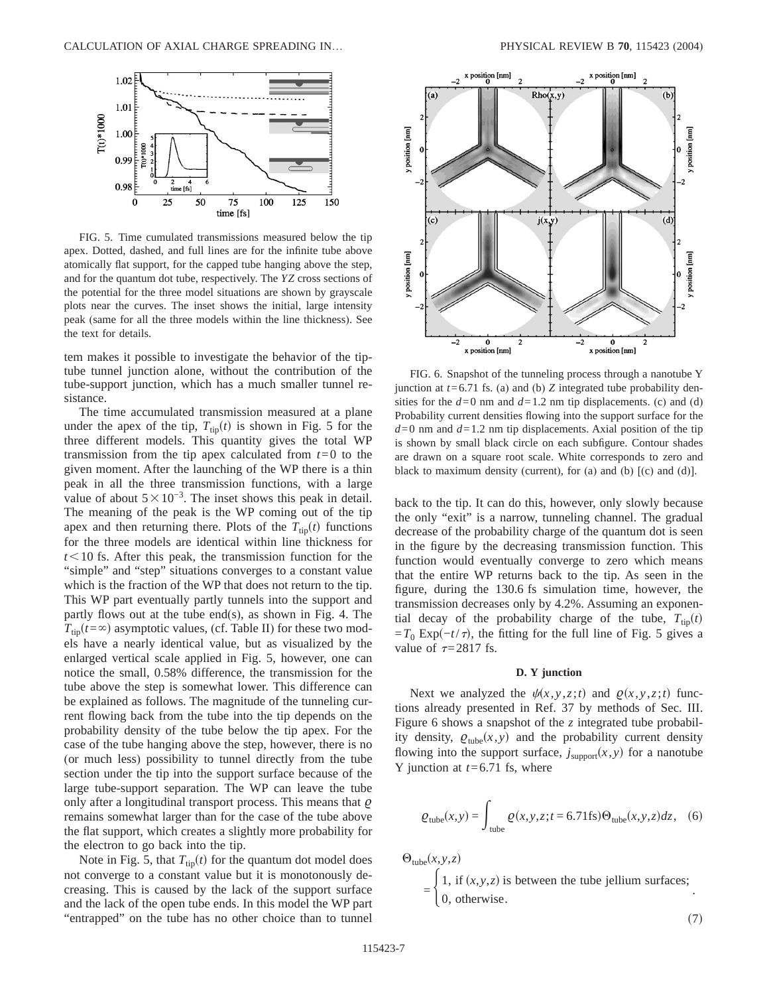

FIG. 5. Time cumulated transmissions measured below the tip apex. Dotted, dashed, and full lines are for the infinite tube above atomically flat support, for the capped tube hanging above the step, and for the quantum dot tube, respectively. The *YZ* cross sections of the potential for the three model situations are shown by grayscale plots near the curves. The inset shows the initial, large intensity peak (same for all the three models within the line thickness). See the text for details.

tem makes it possible to investigate the behavior of the tiptube tunnel junction alone, without the contribution of the tube-support junction, which has a much smaller tunnel resistance.

The time accumulated transmission measured at a plane under the apex of the tip,  $T_{\text{tip}}(t)$  is shown in Fig. 5 for the three different models. This quantity gives the total WP transmission from the tip apex calculated from  $t=0$  to the given moment. After the launching of the WP there is a thin peak in all the three transmission functions, with a large value of about  $5 \times 10^{-3}$ . The inset shows this peak in detail. The meaning of the peak is the WP coming out of the tip apex and then returning there. Plots of the  $T_{\text{tip}}(t)$  functions for the three models are identical within line thickness for  $t<10$  fs. After this peak, the transmission function for the "simple" and "step" situations converges to a constant value which is the fraction of the WP that does not return to the tip. This WP part eventually partly tunnels into the support and partly flows out at the tube end(s), as shown in Fig. 4. The  $T_{\text{tip}}(t=\infty)$  asymptotic values, (cf. Table II) for these two models have a nearly identical value, but as visualized by the enlarged vertical scale applied in Fig. 5, however, one can notice the small, 0.58% difference, the transmission for the tube above the step is somewhat lower. This difference can be explained as follows. The magnitude of the tunneling current flowing back from the tube into the tip depends on the probability density of the tube below the tip apex. For the case of the tube hanging above the step, however, there is no (or much less) possibility to tunnel directly from the tube section under the tip into the support surface because of the large tube-support separation. The WP can leave the tube only after a longitudinal transport process. This means that  $$ remains somewhat larger than for the case of the tube above the flat support, which creates a slightly more probability for the electron to go back into the tip.

Note in Fig. 5, that  $T_{\text{tip}}(t)$  for the quantum dot model does not converge to a constant value but it is monotonously decreasing. This is caused by the lack of the support surface and the lack of the open tube ends. In this model the WP part "entrapped" on the tube has no other choice than to tunnel



FIG. 6. Snapshot of the tunneling process through a nanotube Y junction at  $t=6.71$  fs. (a) and (b) *Z* integrated tube probability densities for the  $d=0$  nm and  $d=1.2$  nm tip displacements. (c) and (d) Probability current densities flowing into the support surface for the  $d=0$  nm and  $d=1.2$  nm tip displacements. Axial position of the tip is shown by small black circle on each subfigure. Contour shades are drawn on a square root scale. White corresponds to zero and black to maximum density (current), for (a) and (b) [(c) and (d)].

back to the tip. It can do this, however, only slowly because the only "exit" is a narrow, tunneling channel. The gradual decrease of the probability charge of the quantum dot is seen in the figure by the decreasing transmission function. This function would eventually converge to zero which means that the entire WP returns back to the tip. As seen in the figure, during the 130.6 fs simulation time, however, the transmission decreases only by 4.2%. Assuming an exponential decay of the probability charge of the tube,  $T_{\text{tin}}(t)$  $=T_0 \text{Exp}(-t/\tau)$ , the fitting for the full line of Fig. 5 gives a value of  $\tau$ =2817 fs.

#### **D. Y junction**

Next we analyzed the  $\psi(x, y, z; t)$  and  $\varrho(x, y, z; t)$  functions already presented in Ref. 37 by methods of Sec. III. Figure 6 shows a snapshot of the *z* integrated tube probability density,  $\varrho_{\text{tube}}(x, y)$  and the probability current density flowing into the support surface,  $j_{\text{support}}(x, y)$  for a nanotube Y junction at *t*=6.71 fs, where

$$
Q_{\text{tube}}(x, y) = \int_{\text{tube}} Q(x, y, z; t = 6.71 \text{fs}) \Theta_{\text{tube}}(x, y, z) dz, \quad (6)
$$

 $\Theta_{\text{tube}}(x, y, z)$  $=\begin{cases} 1, & \text{if } (x, y, z) \text{ is between the tube jellium surfaces;} \\ 0, & \text{otherwise.} \end{cases}$  $\frac{1}{2}$ ,  $\frac{1}{2}$ ,  $\frac{1}{2}$ ,  $\frac{1}{2}$ ,  $\frac{1}{2}$ ,  $\frac{1}{2}$ ,  $\frac{1}{2}$ ,  $\frac{1}{2}$ ,  $\frac{1}{2}$ ,  $\frac{1}{2}$ ,  $\frac{1}{2}$ ,  $\frac{1}{2}$ ,  $\frac{1}{2}$ ,  $\frac{1}{2}$ ,  $\frac{1}{2}$ ,  $\frac{1}{2}$ ,  $\frac{1}{2}$ ,  $\frac{1}{2}$ ,  $\frac{1}{2}$ ,  $\frac{1}{2}$ ,

 $(7)$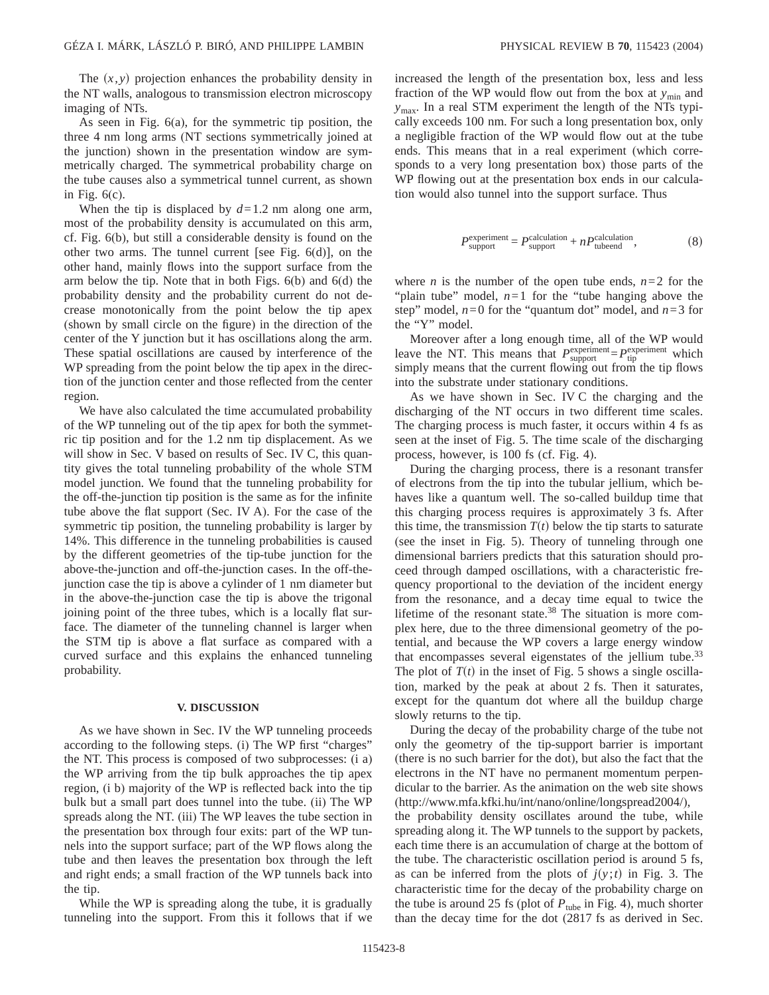The  $(x, y)$  projection enhances the probability density in the NT walls, analogous to transmission electron microscopy imaging of NTs.

As seen in Fig. 6(a), for the symmetric tip position, the three 4 nm long arms (NT sections symmetrically joined at the junction) shown in the presentation window are symmetrically charged. The symmetrical probability charge on the tube causes also a symmetrical tunnel current, as shown in Fig.  $6(c)$ .

When the tip is displaced by  $d=1.2$  nm along one arm, most of the probability density is accumulated on this arm, cf. Fig. 6(b), but still a considerable density is found on the other two arms. The tunnel current [see Fig. 6(d)], on the other hand, mainly flows into the support surface from the arm below the tip. Note that in both Figs. 6(b) and 6(d) the probability density and the probability current do not decrease monotonically from the point below the tip apex (shown by small circle on the figure) in the direction of the center of the Y junction but it has oscillations along the arm. These spatial oscillations are caused by interference of the WP spreading from the point below the tip apex in the direction of the junction center and those reflected from the center region.

We have also calculated the time accumulated probability of the WP tunneling out of the tip apex for both the symmetric tip position and for the 1.2 nm tip displacement. As we will show in Sec. V based on results of Sec. IV C, this quantity gives the total tunneling probability of the whole STM model junction. We found that the tunneling probability for the off-the-junction tip position is the same as for the infinite tube above the flat support (Sec. IV A). For the case of the symmetric tip position, the tunneling probability is larger by 14%. This difference in the tunneling probabilities is caused by the different geometries of the tip-tube junction for the above-the-junction and off-the-junction cases. In the off-thejunction case the tip is above a cylinder of 1 nm diameter but in the above-the-junction case the tip is above the trigonal joining point of the three tubes, which is a locally flat surface. The diameter of the tunneling channel is larger when the STM tip is above a flat surface as compared with a curved surface and this explains the enhanced tunneling probability.

### **V. DISCUSSION**

As we have shown in Sec. IV the WP tunneling proceeds according to the following steps. (i) The WP first "charges" the NT. This process is composed of two subprocesses: (i a) the WP arriving from the tip bulk approaches the tip apex region, (i b) majority of the WP is reflected back into the tip bulk but a small part does tunnel into the tube. (ii) The WP spreads along the NT. (iii) The WP leaves the tube section in the presentation box through four exits: part of the WP tunnels into the support surface; part of the WP flows along the tube and then leaves the presentation box through the left and right ends; a small fraction of the WP tunnels back into the tip.

While the WP is spreading along the tube, it is gradually tunneling into the support. From this it follows that if we increased the length of the presentation box, less and less fraction of the WP would flow out from the box at  $y_{\text{min}}$  and *y*max. In a real STM experiment the length of the NTs typically exceeds 100 nm. For such a long presentation box, only a negligible fraction of the WP would flow out at the tube ends. This means that in a real experiment (which corresponds to a very long presentation box) those parts of the WP flowing out at the presentation box ends in our calculation would also tunnel into the support surface. Thus

$$
P_{\text{support}}^{\text{experiment}} = P_{\text{support}}^{\text{calculation}} + n P_{\text{tubend}}^{\text{calculation}},\tag{8}
$$

where *n* is the number of the open tube ends,  $n=2$  for the "plain tube" model,  $n=1$  for the "tube hanging above the step" model, *n*=0 for the "quantum dot" model, and *n*=3 for the "Y" model.

Moreover after a long enough time, all of the WP would leave the NT. This means that  $P_{\text{support}}^{\text{experiment}} = P_{\text{tip}}^{\text{experiment}}$  which simply means that the current flowing out from the tip flows into the substrate under stationary conditions.

As we have shown in Sec. IV C the charging and the discharging of the NT occurs in two different time scales. The charging process is much faster, it occurs within 4 fs as seen at the inset of Fig. 5. The time scale of the discharging process, however, is 100 fs (cf. Fig. 4).

During the charging process, there is a resonant transfer of electrons from the tip into the tubular jellium, which behaves like a quantum well. The so-called buildup time that this charging process requires is approximately 3 fs. After this time, the transmission  $T(t)$  below the tip starts to saturate (see the inset in Fig. 5). Theory of tunneling through one dimensional barriers predicts that this saturation should proceed through damped oscillations, with a characteristic frequency proportional to the deviation of the incident energy from the resonance, and a decay time equal to twice the lifetime of the resonant state.<sup>38</sup> The situation is more complex here, due to the three dimensional geometry of the potential, and because the WP covers a large energy window that encompasses several eigenstates of the jellium tube. $33$ The plot of  $T(t)$  in the inset of Fig. 5 shows a single oscillation, marked by the peak at about 2 fs. Then it saturates, except for the quantum dot where all the buildup charge slowly returns to the tip.

During the decay of the probability charge of the tube not only the geometry of the tip-support barrier is important (there is no such barrier for the dot), but also the fact that the electrons in the NT have no permanent momentum perpendicular to the barrier. As the animation on the web site shows (http://www.mfa.kfki.hu/int/nano/online/longspread2004/),

the probability density oscillates around the tube, while spreading along it. The WP tunnels to the support by packets, each time there is an accumulation of charge at the bottom of the tube. The characteristic oscillation period is around 5 fs, as can be inferred from the plots of  $j(y; t)$  in Fig. 3. The characteristic time for the decay of the probability charge on the tube is around 25 fs (plot of  $P_{\text{tube}}$  in Fig. 4), much shorter than the decay time for the dot (2817 fs as derived in Sec.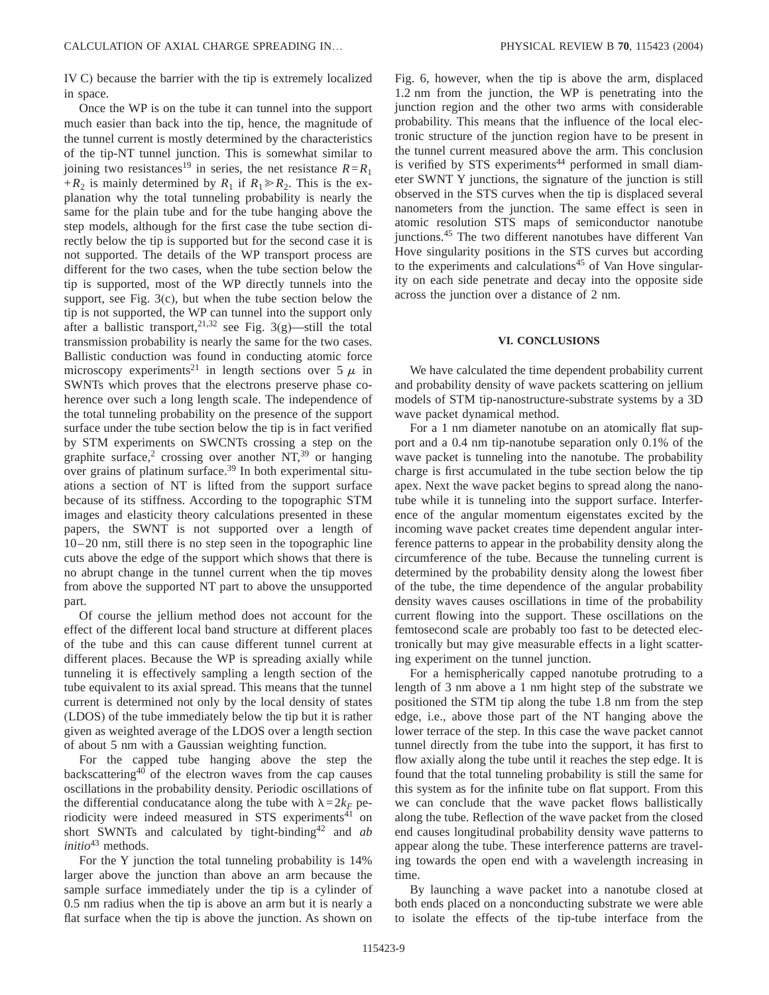IV C) because the barrier with the tip is extremely localized in space.

Once the WP is on the tube it can tunnel into the support much easier than back into the tip, hence, the magnitude of the tunnel current is mostly determined by the characteristics of the tip-NT tunnel junction. This is somewhat similar to joining two resistances<sup>19</sup> in series, the net resistance  $R = R_1$ + $R_2$  is mainly determined by  $R_1$  if  $R_1 \ge R_2$ . This is the explanation why the total tunneling probability is nearly the same for the plain tube and for the tube hanging above the step models, although for the first case the tube section directly below the tip is supported but for the second case it is not supported. The details of the WP transport process are different for the two cases, when the tube section below the tip is supported, most of the WP directly tunnels into the support, see Fig.  $3(c)$ , but when the tube section below the tip is not supported, the WP can tunnel into the support only after a ballistic transport,  $2^{1,32}$  see Fig. 3(g)—still the total transmission probability is nearly the same for the two cases. Ballistic conduction was found in conducting atomic force microscopy experiments<sup>21</sup> in length sections over 5  $\mu$  in SWNTs which proves that the electrons preserve phase coherence over such a long length scale. The independence of the total tunneling probability on the presence of the support surface under the tube section below the tip is in fact verified by STM experiments on SWCNTs crossing a step on the graphite surface,<sup>2</sup> crossing over another  $NT<sub>1</sub><sup>39</sup>$  or hanging over grains of platinum surface.<sup>39</sup> In both experimental situations a section of NT is lifted from the support surface because of its stiffness. According to the topographic STM images and elasticity theory calculations presented in these papers, the SWNT is not supported over a length of 10–20 nm, still there is no step seen in the topographic line cuts above the edge of the support which shows that there is no abrupt change in the tunnel current when the tip moves from above the supported NT part to above the unsupported part.

Of course the jellium method does not account for the effect of the different local band structure at different places of the tube and this can cause different tunnel current at different places. Because the WP is spreading axially while tunneling it is effectively sampling a length section of the tube equivalent to its axial spread. This means that the tunnel current is determined not only by the local density of states (LDOS) of the tube immediately below the tip but it is rather given as weighted average of the LDOS over a length section of about 5 nm with a Gaussian weighting function.

For the capped tube hanging above the step the backscattering $40$  of the electron waves from the cap causes oscillations in the probability density. Periodic oscillations of the differential conducatance along the tube with  $\lambda = 2k_F$  periodicity were indeed measured in STS experiments $41$  on short SWNTs and calculated by tight-binding<sup>42</sup> and *ab methods.* 

For the Y junction the total tunneling probability is 14% larger above the junction than above an arm because the sample surface immediately under the tip is a cylinder of 0.5 nm radius when the tip is above an arm but it is nearly a flat surface when the tip is above the junction. As shown on Fig. 6, however, when the tip is above the arm, displaced 1.2 nm from the junction, the WP is penetrating into the junction region and the other two arms with considerable probability. This means that the influence of the local electronic structure of the junction region have to be present in the tunnel current measured above the arm. This conclusion is verified by STS experiments<sup>44</sup> performed in small diameter SWNT Y junctions, the signature of the junction is still observed in the STS curves when the tip is displaced several nanometers from the junction. The same effect is seen in atomic resolution STS maps of semiconductor nanotube junctions.45 The two different nanotubes have different Van Hove singularity positions in the STS curves but according to the experiments and calculations<sup>45</sup> of Van Hove singularity on each side penetrate and decay into the opposite side across the junction over a distance of 2 nm.

#### **VI. CONCLUSIONS**

We have calculated the time dependent probability current and probability density of wave packets scattering on jellium models of STM tip-nanostructure-substrate systems by a 3D wave packet dynamical method.

For a 1 nm diameter nanotube on an atomically flat support and a 0.4 nm tip-nanotube separation only 0.1% of the wave packet is tunneling into the nanotube. The probability charge is first accumulated in the tube section below the tip apex. Next the wave packet begins to spread along the nanotube while it is tunneling into the support surface. Interference of the angular momentum eigenstates excited by the incoming wave packet creates time dependent angular interference patterns to appear in the probability density along the circumference of the tube. Because the tunneling current is determined by the probability density along the lowest fiber of the tube, the time dependence of the angular probability density waves causes oscillations in time of the probability current flowing into the support. These oscillations on the femtosecond scale are probably too fast to be detected electronically but may give measurable effects in a light scattering experiment on the tunnel junction.

For a hemispherically capped nanotube protruding to a length of 3 nm above a 1 nm hight step of the substrate we positioned the STM tip along the tube 1.8 nm from the step edge, i.e., above those part of the NT hanging above the lower terrace of the step. In this case the wave packet cannot tunnel directly from the tube into the support, it has first to flow axially along the tube until it reaches the step edge. It is found that the total tunneling probability is still the same for this system as for the infinite tube on flat support. From this we can conclude that the wave packet flows ballistically along the tube. Reflection of the wave packet from the closed end causes longitudinal probability density wave patterns to appear along the tube. These interference patterns are traveling towards the open end with a wavelength increasing in time.

By launching a wave packet into a nanotube closed at both ends placed on a nonconducting substrate we were able to isolate the effects of the tip-tube interface from the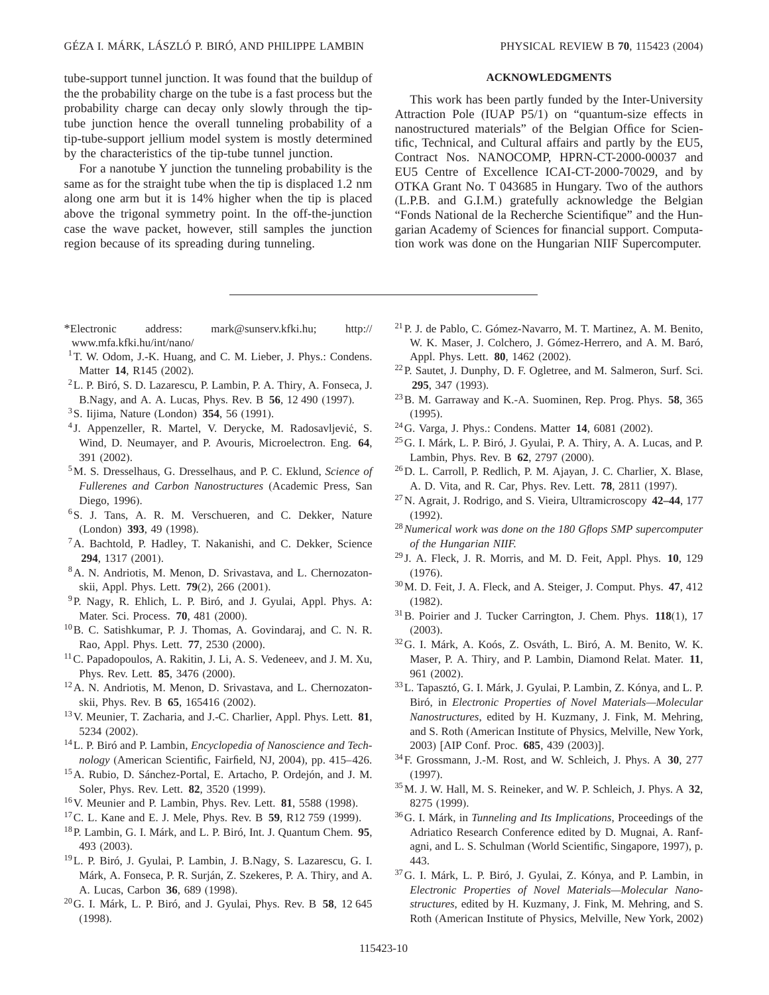tube-support tunnel junction. It was found that the buildup of the the probability charge on the tube is a fast process but the probability charge can decay only slowly through the tiptube junction hence the overall tunneling probability of a tip-tube-support jellium model system is mostly determined by the characteristics of the tip-tube tunnel junction.

For a nanotube Y junction the tunneling probability is the same as for the straight tube when the tip is displaced 1.2 nm along one arm but it is 14% higher when the tip is placed above the trigonal symmetry point. In the off-the-junction case the wave packet, however, still samples the junction region because of its spreading during tunneling.

- \*Electronic address: mark@sunserv.kfki.hu; http:// www.mfa.kfki.hu/int/nano/
- <sup>1</sup>T. W. Odom, J.-K. Huang, and C. M. Lieber, J. Phys.: Condens. Matter **14**, R145 (2002).
- 2L. P. Biró, S. D. Lazarescu, P. Lambin, P. A. Thiry, A. Fonseca, J. B.Nagy, and A. A. Lucas, Phys. Rev. B **56**, 12 490 (1997).
- 3S. Iijima, Nature (London) **354**, 56 (1991).
- <sup>4</sup> J. Appenzeller, R. Martel, V. Derycke, M. Radosavljević, S. Wind, D. Neumayer, and P. Avouris, Microelectron. Eng. **64**, 391 (2002).
- 5M. S. Dresselhaus, G. Dresselhaus, and P. C. Eklund, *Science of Fullerenes and Carbon Nanostructures* (Academic Press, San Diego, 1996).
- 6S. J. Tans, A. R. M. Verschueren, and C. Dekker, Nature (London) **393**, 49 (1998).
- 7A. Bachtold, P. Hadley, T. Nakanishi, and C. Dekker, Science **294**, 1317 (2001).
- 8A. N. Andriotis, M. Menon, D. Srivastava, and L. Chernozatonskii, Appl. Phys. Lett. **79**(2), 266 (2001).
- 9P. Nagy, R. Ehlich, L. P. Biró, and J. Gyulai, Appl. Phys. A: Mater. Sci. Process. **70**, 481 (2000).
- <sup>10</sup>B. C. Satishkumar, P. J. Thomas, A. Govindaraj, and C. N. R. Rao, Appl. Phys. Lett. **77**, 2530 (2000).
- 11C. Papadopoulos, A. Rakitin, J. Li, A. S. Vedeneev, and J. M. Xu, Phys. Rev. Lett. **85**, 3476 (2000).
- 12A. N. Andriotis, M. Menon, D. Srivastava, and L. Chernozatonskii, Phys. Rev. B **65**, 165416 (2002).
- 13V. Meunier, T. Zacharia, and J.-C. Charlier, Appl. Phys. Lett. **81**, 5234 (2002).
- 14L. P. Biró and P. Lambin, *Encyclopedia of Nanoscience and Technology* (American Scientific, Fairfield, NJ, 2004), pp. 415–426.
- 15A. Rubio, D. Sánchez-Portal, E. Artacho, P. Ordejón, and J. M. Soler, Phys. Rev. Lett. **82**, 3520 (1999).
- 16V. Meunier and P. Lambin, Phys. Rev. Lett. **81**, 5588 (1998).
- 17C. L. Kane and E. J. Mele, Phys. Rev. B **59**, R12 759 (1999).
- 18P. Lambin, G. I. Márk, and L. P. Biró, Int. J. Quantum Chem. **95**, 493 (2003).
- 19L. P. Biró, J. Gyulai, P. Lambin, J. B.Nagy, S. Lazarescu, G. I. Márk, A. Fonseca, P. R. Surján, Z. Szekeres, P. A. Thiry, and A. A. Lucas, Carbon **36**, 689 (1998).
- 20G. I. Márk, L. P. Biró, and J. Gyulai, Phys. Rev. B **58**, 12 645 (1998).

## **ACKNOWLEDGMENTS**

This work has been partly funded by the Inter-University Attraction Pole (IUAP P5/1) on "quantum-size effects in nanostructured materials" of the Belgian Office for Scientific, Technical, and Cultural affairs and partly by the EU5, Contract Nos. NANOCOMP, HPRN-CT-2000-00037 and EU5 Centre of Excellence ICAI-CT-2000-70029, and by OTKA Grant No. T 043685 in Hungary. Two of the authors (L.P.B. and G.I.M.) gratefully acknowledge the Belgian "Fonds National de la Recherche Scientifique" and the Hungarian Academy of Sciences for financial support. Computation work was done on the Hungarian NIIF Supercomputer.

- 21P. J. de Pablo, C. Gómez-Navarro, M. T. Martinez, A. M. Benito, W. K. Maser, J. Colchero, J. Gómez-Herrero, and A. M. Baró, Appl. Phys. Lett. **80**, 1462 (2002).
- 22P. Sautet, J. Dunphy, D. F. Ogletree, and M. Salmeron, Surf. Sci. **295**, 347 (1993).
- 23B. M. Garraway and K.-A. Suominen, Rep. Prog. Phys. **58**, 365 (1995).
- 24G. Varga, J. Phys.: Condens. Matter **14**, 6081 (2002).
- 25G. I. Márk, L. P. Biró, J. Gyulai, P. A. Thiry, A. A. Lucas, and P. Lambin, Phys. Rev. B **62**, 2797 (2000).
- 26D. L. Carroll, P. Redlich, P. M. Ajayan, J. C. Charlier, X. Blase, A. D. Vita, and R. Car, Phys. Rev. Lett. **78**, 2811 (1997).
- 27N. Agrait, J. Rodrigo, and S. Vieira, Ultramicroscopy **42–44**, 177 (1992).
- <sup>28</sup>*Numerical work was done on the 180 Gflops SMP supercomputer of the Hungarian NIIF.*
- <sup>29</sup> J. A. Fleck, J. R. Morris, and M. D. Feit, Appl. Phys. **10**, 129 (1976).
- 30M. D. Feit, J. A. Fleck, and A. Steiger, J. Comput. Phys. **47**, 412 (1982).
- 31B. Poirier and J. Tucker Carrington, J. Chem. Phys. **118**(1), 17 (2003).
- 32G. I. Márk, A. Koós, Z. Osváth, L. Biró, A. M. Benito, W. K. Maser, P. A. Thiry, and P. Lambin, Diamond Relat. Mater. **11**, 961 (2002).
- 33L. Tapasztó, G. I. Márk, J. Gyulai, P. Lambin, Z. Kónya, and L. P. Biró, in *Electronic Properties of Novel Materials—Molecular Nanostructures*, edited by H. Kuzmany, J. Fink, M. Mehring, and S. Roth (American Institute of Physics, Melville, New York, 2003) [AIP Conf. Proc. **685**, 439 (2003)].
- 34F. Grossmann, J.-M. Rost, and W. Schleich, J. Phys. A **30**, 277 (1997).
- 35M. J. W. Hall, M. S. Reineker, and W. P. Schleich, J. Phys. A **32**, 8275 (1999).
- 36G. I. Márk, in *Tunneling and Its Implications*, Proceedings of the Adriatico Research Conference edited by D. Mugnai, A. Ranfagni, and L. S. Schulman (World Scientific, Singapore, 1997), p. 443.
- 37G. I. Márk, L. P. Biró, J. Gyulai, Z. Kónya, and P. Lambin, in *Electronic Properties of Novel Materials—Molecular Nanostructures*, edited by H. Kuzmany, J. Fink, M. Mehring, and S. Roth (American Institute of Physics, Melville, New York, 2002)